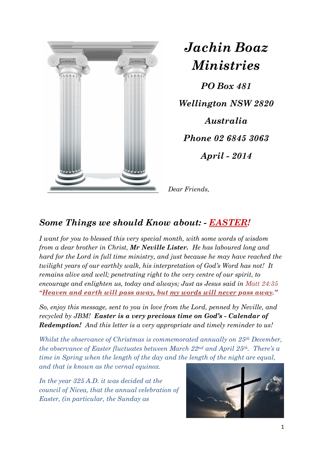

*Jachin Boaz Ministries*

*PO Box 481 Wellington NSW 2820 Australia Phone 02 6845 3063 April - 2014* 

*Dear Friends,* 

## *Some Things we should Know about: - EASTER!*

*I want for you to blessed this very special month, with some words of wisdom from a dear brother in Christ, Mr Neville Lister. He has laboured long and hard for the Lord in full time ministry, and just because he may have reached the twilight years of our earthly walk, his interpretation of God's Word has not! It remains alive and well; penetrating right to the very centre of our spirit, to encourage and enlighten us, today and always; Just as Jesus said in Matt 24:35 "Heaven and earth will pass away, but my words will never pass away."*

*So, enjoy this message, sent to you in love from the Lord, penned by Neville, and recycled by JBM! Easter is a very precious time on God's - Calendar of Redemption! And this letter is a very appropriate and timely reminder to us!* 

*Whilst the observance of Christmas is commemorated annually on 25th December, the observance of Easter fluctuates between March 22nd and April 25th. There's a time in Spring when the length of the day and the length of the night are equal, and that is known as the vernal equinox.* 

*In the year 325 A.D. it was decided at the council of Nicea, that the annual celebration of Easter, (in particular, the Sunday as* 

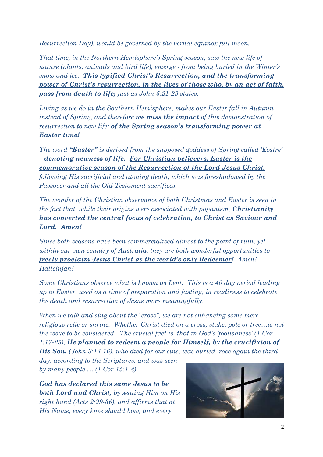*Resurrection Day), would be governed by the vernal equinox full moon.* 

*That time, in the Northern Hemisphere's Spring season, saw the new life of nature (plants, animals and bird life), emerge - from being buried in the Winter's snow and ice. This typified Christ's Resurrection, and the transforming power of Christ's resurrection, in the lives of those who, by an act of faith, pass from death to life; just as John 5:21-29 states.* 

*Living as we do in the Southern Hemisphere, makes our Easter fall in Autumn instead of Spring, and therefore we miss the impact of this demonstration of resurrection to new life; of the Spring season's transforming power at Easter time!*

*The word "Easter" is derived from the supposed goddess of Spring called 'Eostre' – denoting newness of life. For Christian believers, Easter is the commemorative season of the Resurrection of the Lord Jesus Christ, following His sacrificial and atoning death, which was foreshadowed by the Passover and all the Old Testament sacrifices.* 

*The wonder of the Christian observance of both Christmas and Easter is seen in the fact that, while their origins were associated with paganism, <i>Christianity has converted the central focus of celebration, to Christ as Saviour and Lord. Amen!*

*Since both seasons have been commercialised almost to the point of ruin, yet within our own country of Australia, they are both wonderful opportunities to freely proclaim Jesus Christ as the world's only Redeemer! Amen! Hallelujah!* 

*Some Christians observe what is known as Lent. This is a 40 day period leading up to Easter, used as a time of preparation and fasting, in readiness to celebrate the death and resurrection of Jesus more meaningfully.* 

*When we talk and sing about the "cross", we are not enhancing some mere religious relic or shrine. Whether Christ died on a cross, stake, pole or tree…is not the issue to be considered. The crucial fact is, that in God's 'foolishness' (1 Cor 1:17-25), He planned to redeem a people for Himself, by the crucifixion of His Son, (John 3:14-16), who died for our sins, was buried, rose again the third* 

*day, according to the Scriptures, and was seen by many people … (1 Cor 15:1-8).* 

*God has declared this same Jesus to be both Lord and Christ, by seating Him on His right hand (Acts 2:29-36), and affirms that at His Name, every knee should bow, and every* 

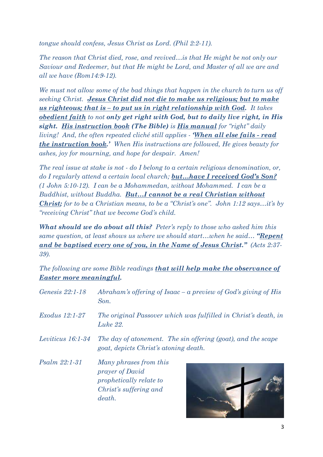*tongue should confess, Jesus Christ as Lord. (Phil 2:2-11).* 

*The reason that Christ died, rose, and revived…is that He might be not only our Saviour and Redeemer, but that He might be Lord, and Master of all we are and all we have (Rom14:9-12).* 

*We must not allow some of the bad things that happen in the church to turn us off seeking Christ. Jesus Christ did not die to make us religious; but to make us righteous; that is – to put us in right relationship with God. It takes obedient faith to not only get right with God, but to daily live right, in His sight. His instruction book (The Bible) is His manual for "right" daily living! And, the often repeated cliché still applies - 'When all else fails - read the instruction book.' When His instructions are followed, He gives beauty for ashes, joy for mourning, and hope for despair. Amen!* 

*The real issue at stake is not - do I belong to a certain religious denomination, or, do I regularly attend a certain local church; but…have I received God's Son? (1 John 5:10-12). I can be a Mohammedan, without Mohammed. I can be a Buddhist, without Buddha. But…I cannot be a real Christian without Christ; for to be a Christian means, to be a "Christ's one". John 1:12 says…it's by "receiving Christ" that we become God's child.*

*What should we do about all this? Peter's reply to those who asked him this same question, at least shows us where we should start…when he said… "Repent and be baptised every one of you, in the Name of Jesus Christ." (Acts 2:37- 39).* 

*The following are some Bible readings that will help make the observance of Easter more meaningful.*

| Genesis 22:1-18       | Abraham's offering of Isaac – a preview of God's giving of His<br>Son.                                   |
|-----------------------|----------------------------------------------------------------------------------------------------------|
| <i>Exodus</i> 12:1-27 | The original Passover which was fulfilled in Christ's death, in<br>Luke 22.                              |
| Leviticus 16:1-34     | The day of atonement. The sin offering (goat), and the scape<br>goat, depicts Christ's atoning death.    |
| Psalm 22:1-31         | Many phrases from this<br>prayer of David<br>prophetically relate to<br>Christ's suffering and<br>death. |